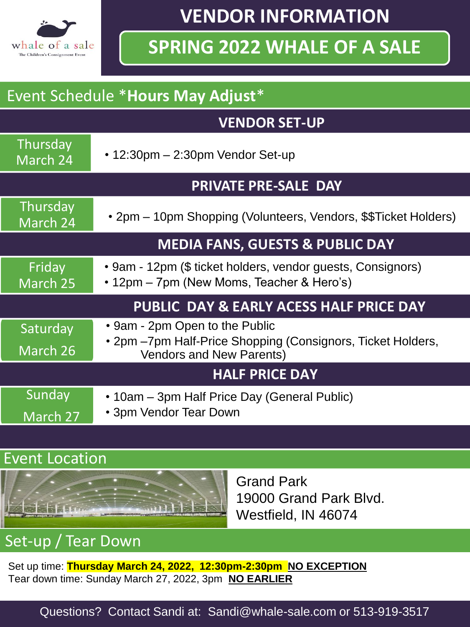

**VENDOR INFORMATION** 

# **SPRING 2022 WHALE OF A SALE**

#### Event Schedule \***Hours May Adjust**\*

#### **VENDOR SET-UP**

| Thursday<br>March 24                       | $\cdot$ 12:30pm $-$ 2:30pm Vendor Set-up                                                                                         |
|--------------------------------------------|----------------------------------------------------------------------------------------------------------------------------------|
| <b>PRIVATE PRE-SALE DAY</b>                |                                                                                                                                  |
| Thursday<br>March 24                       | • 2pm – 10pm Shopping (Volunteers, Vendors, \$\$Ticket Holders)                                                                  |
| <b>MEDIA FANS, GUESTS &amp; PUBLIC DAY</b> |                                                                                                                                  |
| Friday<br>March 25                         | • 9am - 12pm (\$ ticket holders, vendor guests, Consignors)<br>• 12pm – 7pm (New Moms, Teacher & Hero's)                         |
| PUBLIC DAY & EARLY ACESS HALF PRICE DAY    |                                                                                                                                  |
| Saturday<br>March 26                       | • 9am - 2pm Open to the Public<br>• 2pm -7pm Half-Price Shopping (Consignors, Ticket Holders,<br><b>Vendors and New Parents)</b> |
| <b>HALF PRICE DAY</b>                      |                                                                                                                                  |
| Sunday<br>March 27                         | • 10am - 3pm Half Price Day (General Public)<br>• 3pm Vendor Tear Down                                                           |

#### Event Location



Grand Park 19000 Grand Park Blvd. Westfield, IN 46074

### Set-up / Tear Down

Set up time: **Thursday March 24, 2022, 12:30pm-2:30pm NO EXCEPTION** Tear down time: Sunday March 27, 2022, 3pm **NO EARLIER** 

Questions? Contact Sandi at: Sandi@whale-sale.com or 513-919-3517